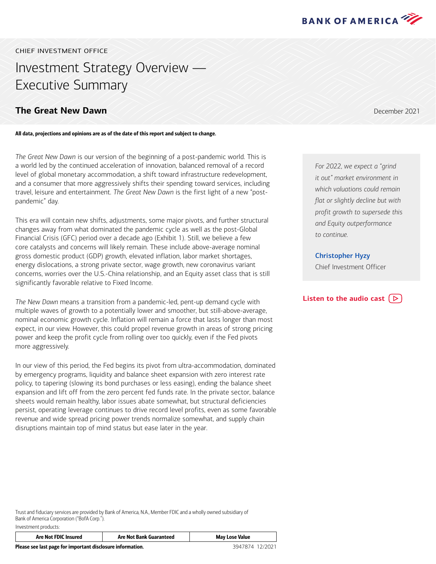

CHIEF INVESTMENT OFFICE

# Investment Strategy Overview — Executive Summary

# **The Great New Dawn December 2021**

All data, projections and opinions are as of the date of this report and subject to change.

*The Great New Dawn* is our version of the beginning of a post-pandemic world. This is a world led by the continued acceleration of innovation, balanced removal of a record level of global monetary accommodation, a shift toward infrastructure redevelopment, and a consumer that more aggressively shifts their spending toward services, including travel, leisure and entertainment. *The Great New Dawn* is the first light of a new "postpandemic" day.

This era will contain new shifts, adjustments, some major pivots, and further structural changes away from what dominated the pandemic cycle as well as the post-Global Financial Crisis (GFC) period over a decade ago (Exhibit 1). Still, we believe a few core catalysts and concerns will likely remain. These include above-average nominal gross domestic product (GDP) growth, elevated inflation, labor market shortages, energy dislocations, a strong private sector, wage growth, new coronavirus variant concerns, worries over the U.S.-China relationship, and an Equity asset class that is still significantly favorable relative to Fixed Income.

*The New Dawn* means a transition from a pandemic-led, pent-up demand cycle with multiple waves of growth to a potentially lower and smoother, but still-above-average, nominal economic growth cycle. Inflation will remain a force that lasts longer than most expect, in our view. However, this could propel revenue growth in areas of strong pricing power and keep the profit cycle from rolling over too quickly, even if the Fed pivots more aggressively.

In our view of this period, the Fed begins its pivot from ultra-accommodation, dominated by emergency programs, liquidity and balance sheet expansion with zero interest rate policy, to tapering (slowing its bond purchases or less easing), ending the balance sheet expansion and lift off from the zero percent fed funds rate. In the private sector, balance sheets would remain healthy, labor issues abate somewhat, but structural deficiencies persist, operating leverage continues to drive record level profits, even as some favorable revenue and wide spread pricing power trends normalize somewhat, and supply chain disruptions maintain top of mind status but ease later in the year.

*For 2022, we expect a "grind it out" market environment in which valuations could remain flat or slightly decline but with profit growth to supersede this and Equity outperformance to continue.*

Christopher Hyzy

Chief Investment Officer

## **[Listen to the audio cast](https://bcove.video/3GKjtgX)**  $(\triangleright)$

Trust and fiduciary services are provided by Bank of America, N.A., Member FDIC and a wholly owned subsidiary of Bank of America Corporation ("BofA Corp."). Investment products:

| Are Not FDIC Insured                                       | <b>Are Not Bank Guaranteed</b> | <b>May Lose Value</b> |
|------------------------------------------------------------|--------------------------------|-----------------------|
| Please see last page for important disclosure information. | 3947874 12/2021                |                       |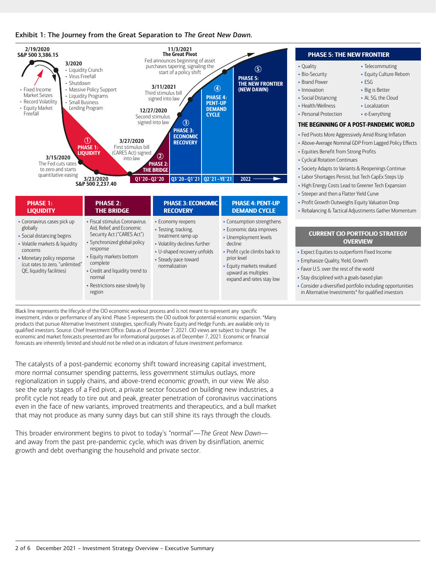



|  |                                                                                                                                                                                                                   |                                                                                                                                                                                                                                                                     |                                                                                                                                                                         |                                                                                                                                                                                                                            | $\cdot$ orgehe                                                                |  |
|--|-------------------------------------------------------------------------------------------------------------------------------------------------------------------------------------------------------------------|---------------------------------------------------------------------------------------------------------------------------------------------------------------------------------------------------------------------------------------------------------------------|-------------------------------------------------------------------------------------------------------------------------------------------------------------------------|----------------------------------------------------------------------------------------------------------------------------------------------------------------------------------------------------------------------------|-------------------------------------------------------------------------------|--|
|  | <b>PHASE 1:</b><br><b>LIQUIDITY</b>                                                                                                                                                                               | <b>PHASE 2:</b><br><b>THE BRIDGE</b>                                                                                                                                                                                                                                | <b>PHASE 3: ECONOMIC</b><br><b>RECOVERY</b>                                                                                                                             | <b>PHASE 4: PENT-UP</b><br><b>DEMAND CYCLE</b>                                                                                                                                                                             | • Profit (<br>• Rebala                                                        |  |
|  | • Coronavirus cases pick up<br>globally<br>• Social distancing begins<br>• Volatile markets & liquidity<br>concerns<br>• Monetary policy response<br>(cut rates to zero, "unlimited"<br>QE, liquidity facilities) | • Fiscal stimulus Coronavirus<br>Aid, Relief, and Economic<br>Security Act ("CARES Act")<br>• Synchronized global policy<br>response<br>• Equity markets bottom<br>complete<br>• Credit and liquidity trend to<br>normal<br>• Restrictions ease slowly by<br>region | • Economy reopens<br>• Testing, tracking,<br>treatment ramp up<br>• Volatility declines further<br>• U-shaped recovery unfolds<br>• Steady pace toward<br>normalization | • Consumption strengthens<br>• Economic data improves<br>• Unemployment levels<br>decline<br>• Profit cycle climbs back to<br>prior level<br>• Equity markets revalued<br>upward as multiples<br>expand and rates stay low | CU<br>• Expect<br>• Empha<br>• Favor U<br>• Stay dis<br>• Conside<br>in Alter |  |

Black line represents the lifecycle of the CIO economic workout process and is not meant to represent any specific investment, index or performance of any kind. Phase 5 represents the CIO outlook for potential economic expansion. \*Many products that pursue Alternative Investment strategies, specifically Private Equity and Hedge Funds, are available only to qualified investors. Source: Chief Investment Office. Data as of December 7, 2021. CIO views are subject to change. The economic and market forecasts presented are for informational purposes as of December 7, 2021. Economic or financial forecasts are inherently limited and should not be relied on as indicators of future investment performance.

The catalysts of a post-pandemic economy shift toward increasing capital investment, more normal consumer spending patterns, less government stimulus outlays, more regionalization in supply chains, and above-trend economic growth, in our view. We also see the early stages of a Fed pivot, a private sector focused on building new industries, a profit cycle not ready to tire out and peak, greater penetration of coronavirus vaccinations even in the face of new variants, improved treatments and therapeutics, and a bull market that may not produce as many sunny days but can still shine its rays through the clouds.

This broader environment begins to pivot to today's "normal"—*The Great New Dawn* and away from the past pre-pandemic cycle, which was driven by disinflation, anemic growth and debt overhanging the household and private sector.

#### PHASE 5: THE NEW FRONTIER

• Telecommuting • Equity Culture Reborn

• ESG • Big is Better • AI, 5G, the Cloud • Localization • e-Everything

- Quality
- Bio-Security
- Brand Power
- Innovation • Social Distancing
- Health/Wellness
- 
- Personal Protection

## THE BEGINNING OF A POST-PANDEMIC WORLD

- Fed Pivots More Aggressively Amid Rising Inflation
- Above-Average Nominal GDP From Lagged Policy Effects
- Equities Benefit from Strong Profits
- Cyclical Rotation Continues
- Society Adapts to Variants & Reopenings Continue
- Labor Shortages Persist, but Tech CapEx Steps Up
- High Energy Costs Lead to Greener Tech Expansion
- er and then a Flatter Yield Curve
- Growth Outweighs Equity Valuation Drop
- rcing & Tactical Adjustments Gather Momentum

#### **RRENT CIO PORTFOLIO STRATEGY OVERVIEW**

- Equities to outperform Fixed Income
- size Quality, Yield, Growth
- I.S. over the rest of the world
- sciplined with a goals-based plan
- er a diversified portfolio including opportunities mative Investments\* for qualified investors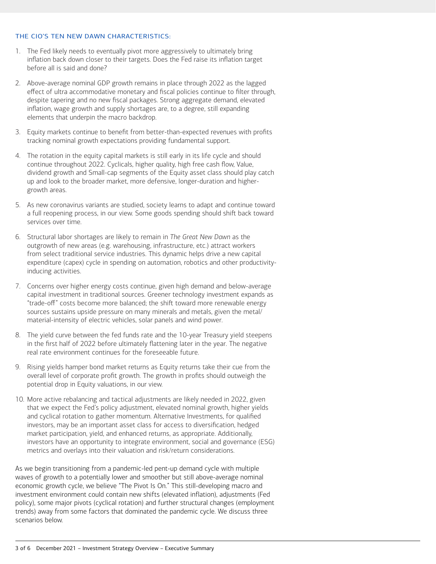#### THE CIO'S TEN NEW DAWN CHARACTERISTICS:

- 1. The Fed likely needs to eventually pivot more aggressively to ultimately bring inflation back down closer to their targets. Does the Fed raise its inflation target before all is said and done?
- 2. Above-average nominal GDP growth remains in place through 2022 as the lagged effect of ultra accommodative monetary and fiscal policies continue to filter through, despite tapering and no new fiscal packages. Strong aggregate demand, elevated inflation, wage growth and supply shortages are, to a degree, still expanding elements that underpin the macro backdrop.
- 3. Equity markets continue to benefit from better-than-expected revenues with profits tracking nominal growth expectations providing fundamental support.
- 4. The rotation in the equity capital markets is still early in its life cycle and should continue throughout 2022. Cyclicals, higher quality, high free cash flow, Value, dividend growth and Small-cap segments of the Equity asset class should play catch up and look to the broader market, more defensive, longer-duration and highergrowth areas.
- 5. As new coronavirus variants are studied, society learns to adapt and continue toward a full reopening process, in our view. Some goods spending should shift back toward services over time.
- 6. Structural labor shortages are likely to remain in *The Great New Dawn* as the outgrowth of new areas (e.g. warehousing, infrastructure, etc.) attract workers from select traditional service industries. This dynamic helps drive a new capital expenditure (capex) cycle in spending on automation, robotics and other productivityinducing activities.
- 7. Concerns over higher energy costs continue, given high demand and below-average capital investment in traditional sources. Greener technology investment expands as "trade-off" costs become more balanced; the shift toward more renewable energy sources sustains upside pressure on many minerals and metals, given the metal/ material-intensity of electric vehicles, solar panels and wind power.
- 8. The yield curve between the fed funds rate and the 10-year Treasury yield steepens in the first half of 2022 before ultimately flattening later in the year. The negative real rate environment continues for the foreseeable future.
- 9. Rising yields hamper bond market returns as Equity returns take their cue from the overall level of corporate profit growth. The growth in profits should outweigh the potential drop in Equity valuations, in our view.
- 10. More active rebalancing and tactical adjustments are likely needed in 2022, given that we expect the Fed's policy adjustment, elevated nominal growth, higher yields and cyclical rotation to gather momentum. Alternative Investments, for qualified investors, may be an important asset class for access to diversification, hedged market participation, yield, and enhanced returns, as appropriate. Additionally, investors have an opportunity to integrate environment, social and governance (ESG) metrics and overlays into their valuation and risk/return considerations.

As we begin transitioning from a pandemic-led pent-up demand cycle with multiple waves of growth to a potentially lower and smoother but still above-average nominal economic growth cycle, we believe "The Pivot Is On." This still-developing macro and investment environment could contain new shifts (elevated inflation), adjustments (Fed policy), some major pivots (cyclical rotation) and further structural changes (employment trends) away from some factors that dominated the pandemic cycle. We discuss three scenarios below.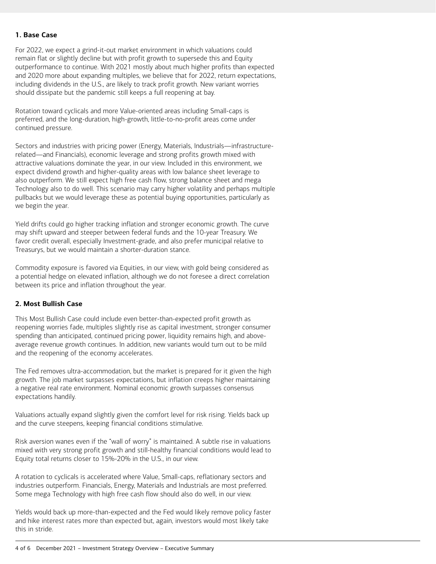#### **1. Base Case**

For 2022, we expect a grind-it-out market environment in which valuations could remain flat or slightly decline but with profit growth to supersede this and Equity outperformance to continue. With 2021 mostly about much higher profits than expected and 2020 more about expanding multiples, we believe that for 2022, return expectations, including dividends in the U.S., are likely to track profit growth. New variant worries should dissipate but the pandemic still keeps a full reopening at bay.

Rotation toward cyclicals and more Value-oriented areas including Small-caps is preferred, and the long-duration, high-growth, little-to-no-profit areas come under continued pressure.

Sectors and industries with pricing power (Energy, Materials, Industrials―infrastructurerelated―and Financials), economic leverage and strong profits growth mixed with attractive valuations dominate the year, in our view. Included in this environment, we expect dividend growth and higher-quality areas with low balance sheet leverage to also outperform. We still expect high free cash flow, strong balance sheet and mega Technology also to do well. This scenario may carry higher volatility and perhaps multiple pullbacks but we would leverage these as potential buying opportunities, particularly as we begin the year.

Yield drifts could go higher tracking inflation and stronger economic growth. The curve may shift upward and steeper between federal funds and the 10-year Treasury. We favor credit overall, especially Investment-grade, and also prefer municipal relative to Treasurys, but we would maintain a shorter-duration stance.

Commodity exposure is favored via Equities, in our view, with gold being considered as a potential hedge on elevated inflation, although we do not foresee a direct correlation between its price and inflation throughout the year.

#### **2. Most Bullish Case**

This Most Bullish Case could include even better-than-expected profit growth as reopening worries fade, multiples slightly rise as capital investment, stronger consumer spending than anticipated, continued pricing power, liquidity remains high, and aboveaverage revenue growth continues. In addition, new variants would turn out to be mild and the reopening of the economy accelerates.

The Fed removes ultra-accommodation, but the market is prepared for it given the high growth. The job market surpasses expectations, but inflation creeps higher maintaining a negative real rate environment. Nominal economic growth surpasses consensus expectations handily.

Valuations actually expand slightly given the comfort level for risk rising. Yields back up and the curve steepens, keeping financial conditions stimulative.

Risk aversion wanes even if the "wall of worry" is maintained. A subtle rise in valuations mixed with very strong profit growth and still-healthy financial conditions would lead to Equity total returns closer to 15%-20% in the U.S., in our view.

A rotation to cyclicals is accelerated where Value, Small-caps, reflationary sectors and industries outperform. Financials, Energy, Materials and Industrials are most preferred. Some mega Technology with high free cash flow should also do well, in our view.

Yields would back up more-than-expected and the Fed would likely remove policy faster and hike interest rates more than expected but, again, investors would most likely take this in stride.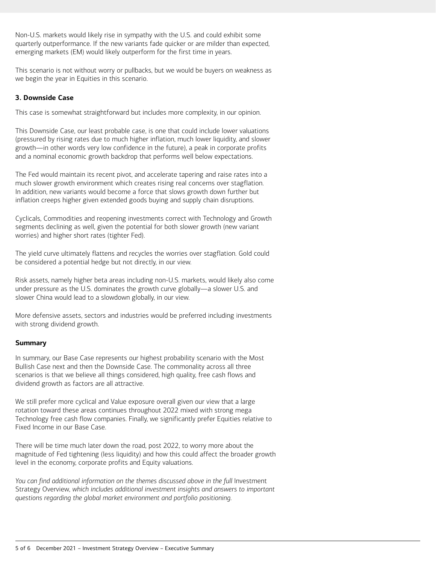Non-U.S. markets would likely rise in sympathy with the U.S. and could exhibit some quarterly outperformance. If the new variants fade quicker or are milder than expected, emerging markets (EM) would likely outperform for the first time in years.

This scenario is not without worry or pullbacks, but we would be buyers on weakness as we begin the year in Equities in this scenario.

### **3. Downside Case**

This case is somewhat straightforward but includes more complexity, in our opinion.

This Downside Case, our least probable case, is one that could include lower valuations (pressured by rising rates due to much higher inflation, much lower liquidity, and slower growth―in other words very low confidence in the future), a peak in corporate profits and a nominal economic growth backdrop that performs well below expectations.

The Fed would maintain its recent pivot, and accelerate tapering and raise rates into a much slower growth environment which creates rising real concerns over stagflation. In addition, new variants would become a force that slows growth down further but inflation creeps higher given extended goods buying and supply chain disruptions.

Cyclicals, Commodities and reopening investments correct with Technology and Growth segments declining as well, given the potential for both slower growth (new variant worries) and higher short rates (tighter Fed).

The yield curve ultimately flattens and recycles the worries over stagflation. Gold could be considered a potential hedge but not directly, in our view.

Risk assets, namely higher beta areas including non-U.S. markets, would likely also come under pressure as the U.S. dominates the growth curve globally―a slower U.S. and slower China would lead to a slowdown globally, in our view.

More defensive assets, sectors and industries would be preferred including investments with strong dividend growth.

### **Summary**

In summary, our Base Case represents our highest probability scenario with the Most Bullish Case next and then the Downside Case. The commonality across all three scenarios is that we believe all things considered, high quality, free cash flows and dividend growth as factors are all attractive.

We still prefer more cyclical and Value exposure overall given our view that a large rotation toward these areas continues throughout 2022 mixed with strong mega Technology free cash flow companies. Finally, we significantly prefer Equities relative to Fixed Income in our Base Case.

There will be time much later down the road, post 2022, to worry more about the magnitude of Fed tightening (less liquidity) and how this could affect the broader growth level in the economy, corporate profits and Equity valuations.

*You can find additional information on the themes discussed above in the full Investment* Strategy Overview*, which includes additional investment insights and answers to important questions regarding the global market environment and portfolio positioning.*